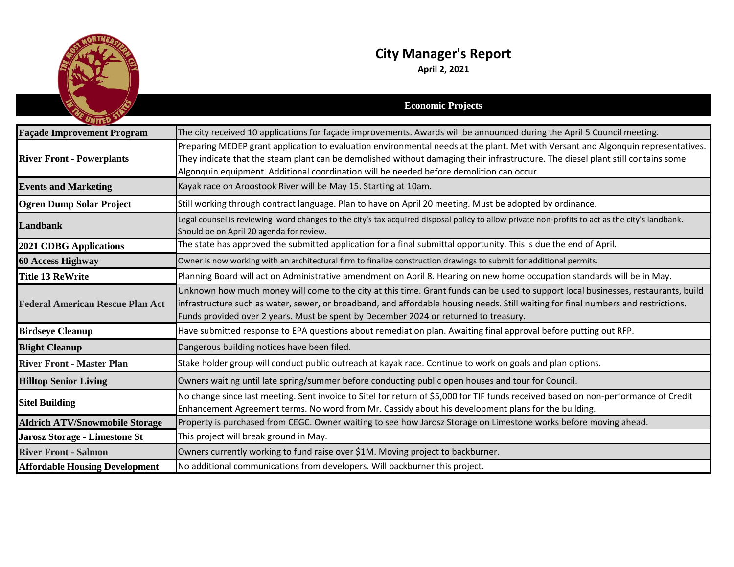

## **City Manager's Report**

**April 2, 2021**

| UNITED                                  | <b>Economic Projects</b>                                                                                                                                                                                                                                                                                                                                          |
|-----------------------------------------|-------------------------------------------------------------------------------------------------------------------------------------------------------------------------------------------------------------------------------------------------------------------------------------------------------------------------------------------------------------------|
| <b>Façade Improvement Program</b>       | The city received 10 applications for façade improvements. Awards will be announced during the April 5 Council meeting.                                                                                                                                                                                                                                           |
| <b>River Front - Powerplants</b>        | Preparing MEDEP grant application to evaluation environmental needs at the plant. Met with Versant and Algonquin representatives.<br>They indicate that the steam plant can be demolished without damaging their infrastructure. The diesel plant still contains some<br>Algonquin equipment. Additional coordination will be needed before demolition can occur. |
| <b>Events and Marketing</b>             | Kayak race on Aroostook River will be May 15. Starting at 10am.                                                                                                                                                                                                                                                                                                   |
| <b>Ogren Dump Solar Project</b>         | Still working through contract language. Plan to have on April 20 meeting. Must be adopted by ordinance.                                                                                                                                                                                                                                                          |
| <b>Landbank</b>                         | Legal counsel is reviewing word changes to the city's tax acquired disposal policy to allow private non-profits to act as the city's landbank.<br>Should be on April 20 agenda for review.                                                                                                                                                                        |
| <b>2021 CDBG Applications</b>           | The state has approved the submitted application for a final submittal opportunity. This is due the end of April.                                                                                                                                                                                                                                                 |
| <b>60 Access Highway</b>                | Owner is now working with an architectural firm to finalize construction drawings to submit for additional permits.                                                                                                                                                                                                                                               |
| <b>Title 13 ReWrite</b>                 | Planning Board will act on Administrative amendment on April 8. Hearing on new home occupation standards will be in May.                                                                                                                                                                                                                                          |
| <b>Federal American Rescue Plan Act</b> | Unknown how much money will come to the city at this time. Grant funds can be used to support local businesses, restaurants, build<br>infrastructure such as water, sewer, or broadband, and affordable housing needs. Still waiting for final numbers and restrictions.<br>Funds provided over 2 years. Must be spent by December 2024 or returned to treasury.  |
| <b>Birdseye Cleanup</b>                 | Have submitted response to EPA questions about remediation plan. Awaiting final approval before putting out RFP.                                                                                                                                                                                                                                                  |
| <b>Blight Cleanup</b>                   | Dangerous building notices have been filed.                                                                                                                                                                                                                                                                                                                       |
| <b>River Front - Master Plan</b>        | Stake holder group will conduct public outreach at kayak race. Continue to work on goals and plan options.                                                                                                                                                                                                                                                        |
| <b>Hilltop Senior Living</b>            | Owners waiting until late spring/summer before conducting public open houses and tour for Council.                                                                                                                                                                                                                                                                |
| <b>Sitel Building</b>                   | No change since last meeting. Sent invoice to Sitel for return of \$5,000 for TIF funds received based on non-performance of Credit<br>Enhancement Agreement terms. No word from Mr. Cassidy about his development plans for the building.                                                                                                                        |
| <b>Aldrich ATV/Snowmobile Storage</b>   | Property is purchased from CEGC. Owner waiting to see how Jarosz Storage on Limestone works before moving ahead.                                                                                                                                                                                                                                                  |
| Jarosz Storage - Limestone St           | This project will break ground in May.                                                                                                                                                                                                                                                                                                                            |
| <b>River Front - Salmon</b>             | Owners currently working to fund raise over \$1M. Moving project to backburner.                                                                                                                                                                                                                                                                                   |
| <b>Affordable Housing Development</b>   | No additional communications from developers. Will backburner this project.                                                                                                                                                                                                                                                                                       |